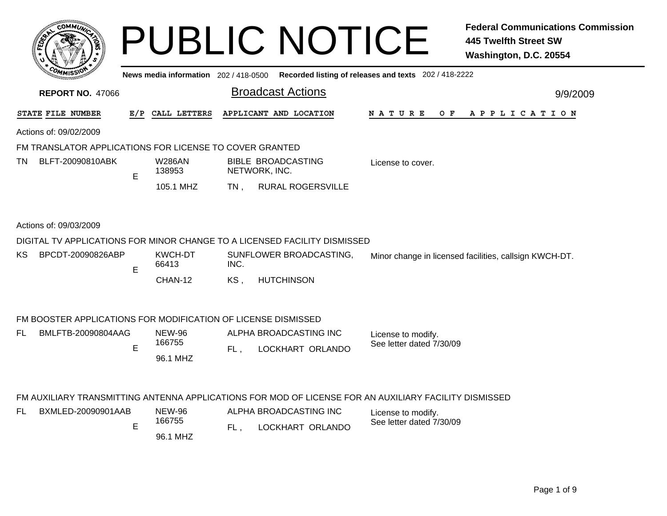| COMMIN                                                  |     |                                       | <b>PUBLIC NOTICE</b>                                                      |                                                       | <b>Federal Communications Commission</b><br><b>445 Twelfth Street SW</b><br>Washington, D.C. 20554 |
|---------------------------------------------------------|-----|---------------------------------------|---------------------------------------------------------------------------|-------------------------------------------------------|----------------------------------------------------------------------------------------------------|
|                                                         |     | News media information 202 / 418-0500 |                                                                           | Recorded listing of releases and texts 202 / 418-2222 |                                                                                                    |
| <b>REPORT NO. 47066</b>                                 |     |                                       | <b>Broadcast Actions</b>                                                  |                                                       | 9/9/2009                                                                                           |
| STATE FILE NUMBER                                       | E/P | CALL LETTERS                          | APPLICANT AND LOCATION                                                    | N A T U R E                                           | OF APPLICATION                                                                                     |
| Actions of: 09/02/2009                                  |     |                                       |                                                                           |                                                       |                                                                                                    |
| FM TRANSLATOR APPLICATIONS FOR LICENSE TO COVER GRANTED |     |                                       |                                                                           |                                                       |                                                                                                    |
| BLFT-20090810ABK<br><b>TN</b>                           | E   | <b>W286AN</b><br>138953               | BIBLE BROADCASTING<br>NETWORK, INC.                                       | License to cover.                                     |                                                                                                    |
|                                                         |     | 105.1 MHZ                             | <b>RURAL ROGERSVILLE</b><br>TN.                                           |                                                       |                                                                                                    |
| Actions of: 09/03/2009                                  |     |                                       |                                                                           |                                                       |                                                                                                    |
|                                                         |     |                                       | DIGITAL TV APPLICATIONS FOR MINOR CHANGE TO A LICENSED FACILITY DISMISSED |                                                       |                                                                                                    |
| BPCDT-20090826ABP<br>KS.                                | E   | KWCH-DT<br>66413                      | SUNFLOWER BROADCASTING,<br>INC.                                           |                                                       | Minor change in licensed facilities, callsign KWCH-DT.                                             |
|                                                         |     | CHAN-12                               | <b>HUTCHINSON</b><br>KS.                                                  |                                                       |                                                                                                    |
|                                                         |     |                                       |                                                                           |                                                       |                                                                                                    |

## FM BOOSTER APPLICATIONS FOR MODIFICATION OF LICENSE DISMISSED

| BMLFTB-20090804AAG | <b>NEW-96</b> | ALPHA BROADCASTING INC | License to modify.       |
|--------------------|---------------|------------------------|--------------------------|
|                    | 166755        | LOCKHART ORLANDO       | See letter dated 7/30/09 |
|                    | 96.1 MHZ      |                        |                          |

## FM AUXILIARY TRANSMITTING ANTENNA APPLICATIONS FOR MOD OF LICENSE FOR AN AUXILIARY FACILITY DISMISSED

| BXMLED-20090901AAB | NEW-96   | ALPHA BROADCASTING INC | License to modify.       |
|--------------------|----------|------------------------|--------------------------|
| -                  | 166755   | LOCKHART ORLANDO       | See letter dated 7/30/09 |
|                    | 96.1 MHZ |                        |                          |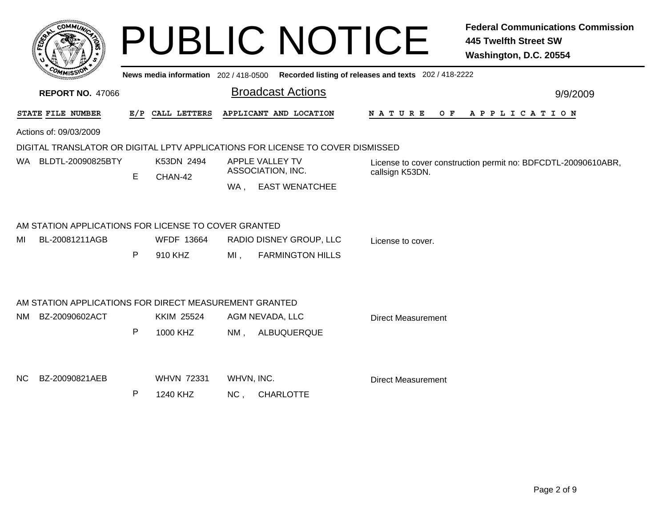|      |                                                                          |     |                                       |                                      | <b>PUBLIC NOTICE</b>                                                           |                                                                                  | <b>Federal Communications Commission</b><br><b>445 Twelfth Street SW</b><br>Washington, D.C. 20554 |  |
|------|--------------------------------------------------------------------------|-----|---------------------------------------|--------------------------------------|--------------------------------------------------------------------------------|----------------------------------------------------------------------------------|----------------------------------------------------------------------------------------------------|--|
|      |                                                                          |     | News media information 202 / 418-0500 |                                      | Recorded listing of releases and texts 202 / 418-2222                          |                                                                                  |                                                                                                    |  |
|      | <b>REPORT NO. 47066</b>                                                  |     |                                       |                                      | <b>Broadcast Actions</b>                                                       |                                                                                  | 9/9/2009                                                                                           |  |
|      | STATE FILE NUMBER                                                        | E/P | CALL LETTERS                          |                                      | APPLICANT AND LOCATION                                                         | N A T U R E                                                                      | O F<br>APPLICATION                                                                                 |  |
|      | Actions of: 09/03/2009                                                   |     |                                       |                                      |                                                                                |                                                                                  |                                                                                                    |  |
|      |                                                                          |     |                                       |                                      | DIGITAL TRANSLATOR OR DIGITAL LPTV APPLICATIONS FOR LICENSE TO COVER DISMISSED |                                                                                  |                                                                                                    |  |
|      | WA BLDTL-20090825BTY                                                     | Е   | K53DN 2494                            | APPLE VALLEY TV<br>ASSOCIATION, INC. |                                                                                | License to cover construction permit no: BDFCDTL-20090610ABR,<br>callsign K53DN. |                                                                                                    |  |
|      |                                                                          |     | CHAN-42                               | WA.                                  | <b>EAST WENATCHEE</b>                                                          |                                                                                  |                                                                                                    |  |
| МI   | AM STATION APPLICATIONS FOR LICENSE TO COVER GRANTED<br>BL-20081211AGB   | P   | <b>WFDF 13664</b><br>910 KHZ          | $MI$ ,                               | RADIO DISNEY GROUP, LLC<br><b>FARMINGTON HILLS</b>                             | License to cover.                                                                |                                                                                                    |  |
| NM - | AM STATION APPLICATIONS FOR DIRECT MEASUREMENT GRANTED<br>BZ-20090602ACT | P   | <b>KKIM 25524</b><br>1000 KHZ         | NM,                                  | AGM NEVADA, LLC<br>ALBUQUERQUE                                                 | <b>Direct Measurement</b>                                                        |                                                                                                    |  |
| NС   | BZ-20090821AEB                                                           | P   | <b>WHVN 72331</b><br>1240 KHZ         | WHVN, INC.<br>NC <sub>1</sub>        | <b>CHARLOTTE</b>                                                               | <b>Direct Measurement</b>                                                        |                                                                                                    |  |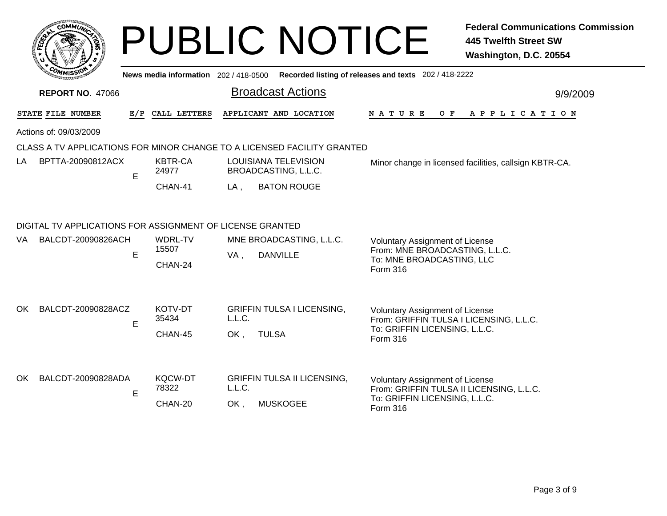|                                                                 |                                                                         |     |                                     |               | <b>PUBLIC NOTICE</b>                                  |                                                                                                                   | <b>Federal Communications Commission</b><br>445 Twelfth Street SW<br>Washington, D.C. 20554 |  |  |
|-----------------------------------------------------------------|-------------------------------------------------------------------------|-----|-------------------------------------|---------------|-------------------------------------------------------|-------------------------------------------------------------------------------------------------------------------|---------------------------------------------------------------------------------------------|--|--|
|                                                                 |                                                                         |     | News media information 202/418-0500 |               |                                                       | Recorded listing of releases and texts 202 / 418-2222                                                             |                                                                                             |  |  |
| <b>Broadcast Actions</b><br><b>REPORT NO. 47066</b><br>9/9/2009 |                                                                         |     |                                     |               |                                                       |                                                                                                                   |                                                                                             |  |  |
|                                                                 | STATE FILE NUMBER                                                       | E/P | CALL LETTERS                        |               | APPLICANT AND LOCATION                                | N A T U R E                                                                                                       | O F<br>A P P L I C A T I O N                                                                |  |  |
|                                                                 | Actions of: 09/03/2009                                                  |     |                                     |               |                                                       |                                                                                                                   |                                                                                             |  |  |
|                                                                 | CLASS A TV APPLICATIONS FOR MINOR CHANGE TO A LICENSED FACILITY GRANTED |     |                                     |               |                                                       |                                                                                                                   |                                                                                             |  |  |
| LA                                                              | BPTTA-20090812ACX                                                       | E.  | <b>KBTR-CA</b><br>24977             |               | LOUISIANA TELEVISION<br>BROADCASTING, L.L.C.          |                                                                                                                   | Minor change in licensed facilities, callsign KBTR-CA.                                      |  |  |
|                                                                 |                                                                         |     | CHAN-41                             | LA .          | <b>BATON ROUGE</b>                                    |                                                                                                                   |                                                                                             |  |  |
|                                                                 | DIGITAL TV APPLICATIONS FOR ASSIGNMENT OF LICENSE GRANTED               |     |                                     |               |                                                       |                                                                                                                   |                                                                                             |  |  |
| VA.                                                             | BALCDT-20090826ACH                                                      | E   | WDRL-TV<br>15507<br>CHAN-24         | VA,           | MNE BROADCASTING, L.L.C.<br><b>DANVILLE</b>           | <b>Voluntary Assignment of License</b><br>From: MNE BROADCASTING, L.L.C.<br>To: MNE BROADCASTING, LLC<br>Form 316 |                                                                                             |  |  |
| OK.                                                             | BALCDT-20090828ACZ                                                      | E   | KOTV-DT<br>35434<br>CHAN-45         | L.L.C.<br>OK, | <b>GRIFFIN TULSA I LICENSING,</b><br><b>TULSA</b>     | <b>Voluntary Assignment of License</b><br>To: GRIFFIN LICENSING, L.L.C.<br>Form 316                               | From: GRIFFIN TULSA I LICENSING, L.L.C.                                                     |  |  |
| OK.                                                             | BALCDT-20090828ADA                                                      | E   | <b>KQCW-DT</b><br>78322<br>CHAN-20  | L.L.C.<br>OK. | <b>GRIFFIN TULSA II LICENSING,</b><br><b>MUSKOGEE</b> | <b>Voluntary Assignment of License</b><br>To: GRIFFIN LICENSING, L.L.C.<br>Form 316                               | From: GRIFFIN TULSA II LICENSING, L.L.C.                                                    |  |  |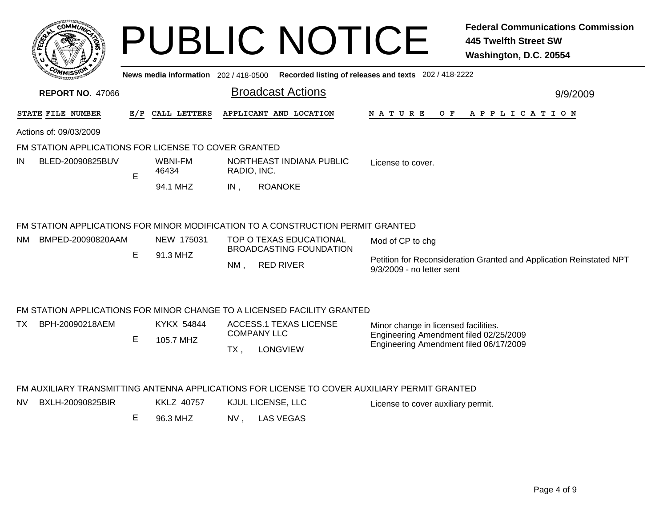|                                                      |     |                  | <b>PUBLIC NOTICE</b><br>News media information 202 / 418-0500 Recorded listing of releases and texts 202 / 418-2222 | <b>Federal Communications Commission</b><br><b>445 Twelfth Street SW</b><br>Washington, D.C. 20554 |
|------------------------------------------------------|-----|------------------|---------------------------------------------------------------------------------------------------------------------|----------------------------------------------------------------------------------------------------|
| <b>REPORT NO. 47066</b>                              |     |                  | <b>Broadcast Actions</b>                                                                                            | 9/9/2009                                                                                           |
| STATE FILE NUMBER                                    | E/P | CALL LETTERS     | APPLICANT AND LOCATION                                                                                              | NATURE OF<br>A P P L I C A T I O N                                                                 |
| Actions of: 09/03/2009                               |     |                  |                                                                                                                     |                                                                                                    |
| FM STATION APPLICATIONS FOR LICENSE TO COVER GRANTED |     |                  |                                                                                                                     |                                                                                                    |
| BLED-20090825BUV<br>IN                               | E   | WBNI-FM<br>46434 | NORTHEAST INDIANA PUBLIC<br>RADIO, INC.                                                                             | License to cover.                                                                                  |
|                                                      |     | 94.1 MHZ         | <b>ROANOKE</b><br>$IN$ ,                                                                                            |                                                                                                    |
|                                                      |     |                  | FM STATION APPLICATIONS FOR MINOR MODIFICATION TO A CONSTRUCTION PERMIT GRANTED                                     |                                                                                                    |
| BMPED-20090820AAM<br>NM.                             |     | NEW 175031       | TOP O TEXAS EDUCATIONAL<br><b>BROADCASTING FOUNDATION</b>                                                           | Mod of CP to chg                                                                                   |
|                                                      | Е   | 91.3 MHZ         | <b>RED RIVER</b><br>NM.                                                                                             | Petition for Reconsideration Granted and Application Reinstated NPT<br>9/3/2009 - no letter sent   |
|                                                      |     |                  | FM STATION APPLICATIONS FOR MINOR CHANGE TO A LICENSED FACILITY GRANTED                                             |                                                                                                    |
| BPH-20090218AEM<br>TX                                |     | KYKX 54844       | <b>ACCESS.1 TEXAS LICENSE</b>                                                                                       | Minor change in licensed facilities.                                                               |
|                                                      | E   | 105.7 MHZ        | <b>COMPANY LLC</b><br><b>LONGVIEW</b><br>$TX$ ,                                                                     | Engineering Amendment filed 02/25/2009<br>Engineering Amendment filed 06/17/2009                   |
|                                                      |     |                  | FM AUXILIARY TRANSMITTING ANTENNA APPLICATIONS FOR LICENSE TO COVER AUXILIARY PERMIT GRANTED                        |                                                                                                    |

NV BXLH-20090825BIRKKLZ 40757 KJUL LICENSE, LLC License to cover auxiliary permit.

E 96.3 MHZ NV , LAS VEGAS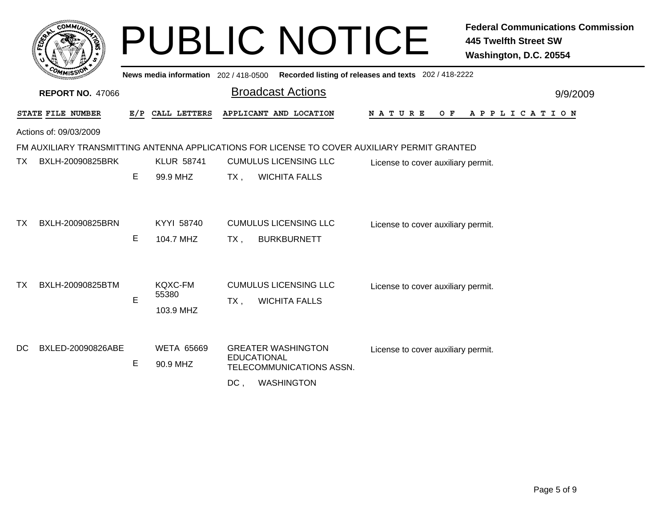|           |                         |     |                                     | <b>PUBLIC NOTICE</b>                                                                                              | <b>Federal Communications Commission</b><br><b>445 Twelfth Street SW</b><br>Washington, D.C. 20554 |
|-----------|-------------------------|-----|-------------------------------------|-------------------------------------------------------------------------------------------------------------------|----------------------------------------------------------------------------------------------------|
|           |                         |     | News media information 202/418-0500 | Recorded listing of releases and texts 202 / 418-2222                                                             |                                                                                                    |
|           | <b>REPORT NO. 47066</b> |     |                                     | <b>Broadcast Actions</b>                                                                                          | 9/9/2009                                                                                           |
|           | STATE FILE NUMBER       | E/P | CALL LETTERS                        | APPLICANT AND LOCATION<br><b>NATURE</b><br>O F                                                                    | A P P L I C A T I O N                                                                              |
|           | Actions of: 09/03/2009  |     |                                     |                                                                                                                   |                                                                                                    |
|           |                         |     |                                     | FM AUXILIARY TRANSMITTING ANTENNA APPLICATIONS FOR LICENSE TO COVER AUXILIARY PERMIT GRANTED                      |                                                                                                    |
| TX.       | BXLH-20090825BRK        |     | <b>KLUR 58741</b>                   | <b>CUMULUS LICENSING LLC</b><br>License to cover auxiliary permit.                                                |                                                                                                    |
|           |                         | E   | 99.9 MHZ                            | <b>WICHITA FALLS</b><br>$TX$ ,                                                                                    |                                                                                                    |
| <b>TX</b> | BXLH-20090825BRN        | E   | KYYI 58740<br>104.7 MHZ             | <b>CUMULUS LICENSING LLC</b><br>License to cover auxiliary permit.<br><b>BURKBURNETT</b><br>TX,                   |                                                                                                    |
| ТX        | BXLH-20090825BTM        |     | <b>KQXC-FM</b>                      | <b>CUMULUS LICENSING LLC</b><br>License to cover auxiliary permit.                                                |                                                                                                    |
|           |                         | E   | 55380<br>103.9 MHZ                  | <b>WICHITA FALLS</b><br>TX,                                                                                       |                                                                                                    |
| DC.       | BXLED-20090826ABE       | E   | <b>WETA 65669</b><br>90.9 MHZ       | <b>GREATER WASHINGTON</b><br>License to cover auxiliary permit.<br><b>EDUCATIONAL</b><br>TELECOMMUNICATIONS ASSN. |                                                                                                    |
|           |                         |     |                                     | $DC$ .<br><b>WASHINGTON</b>                                                                                       |                                                                                                    |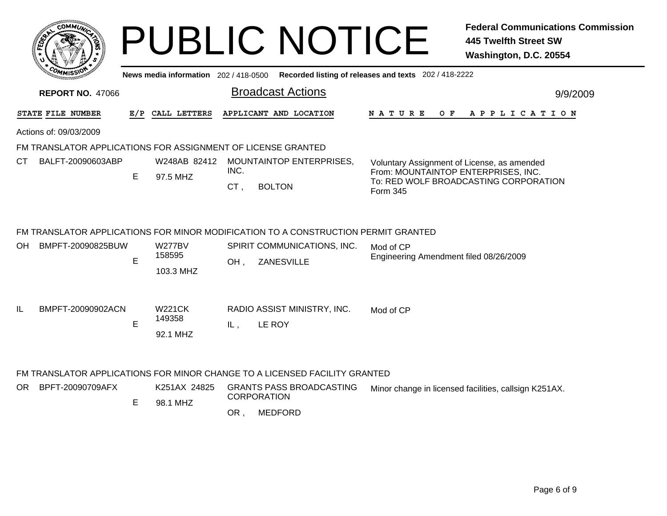| c.OMM <i>I ii</i>                                            |     |                                      | <b>PUBLIC NOTICE</b>                                                               |                                                                                                | <b>Federal Communications Commission</b><br><b>445 Twelfth Street SW</b><br>Washington, D.C. 20554 |
|--------------------------------------------------------------|-----|--------------------------------------|------------------------------------------------------------------------------------|------------------------------------------------------------------------------------------------|----------------------------------------------------------------------------------------------------|
|                                                              |     | News media information 202/418-0500  |                                                                                    | Recorded listing of releases and texts 202 / 418-2222                                          |                                                                                                    |
| <b>REPORT NO. 47066</b>                                      |     |                                      | <b>Broadcast Actions</b>                                                           |                                                                                                | 9/9/2009                                                                                           |
| STATE FILE NUMBER                                            | E/P | CALL LETTERS                         | APPLICANT AND LOCATION                                                             | O F<br>N A T U R E                                                                             | A P P L I C A T I O N                                                                              |
| Actions of: 09/03/2009                                       |     |                                      |                                                                                    |                                                                                                |                                                                                                    |
| FM TRANSLATOR APPLICATIONS FOR ASSIGNMENT OF LICENSE GRANTED |     |                                      |                                                                                    |                                                                                                |                                                                                                    |
| СT<br>BALFT-20090603ABP                                      | E   | W248AB 82412<br>97.5 MHZ             | <b>MOUNTAINTOP ENTERPRISES,</b><br>INC.<br>CT,<br><b>BOLTON</b>                    | Voluntary Assignment of License, as amended<br>From: MOUNTAINTOP ENTERPRISES, INC.<br>Form 345 | To: RED WOLF BROADCASTING CORPORATION                                                              |
|                                                              |     |                                      | FM TRANSLATOR APPLICATIONS FOR MINOR MODIFICATION TO A CONSTRUCTION PERMIT GRANTED |                                                                                                |                                                                                                    |
| BMPFT-20090825BUW<br>OH                                      | E   | <b>W277BV</b><br>158595<br>103.3 MHZ | SPIRIT COMMUNICATIONS, INC.<br>OH,<br>ZANESVILLE                                   | Mod of CP<br>Engineering Amendment filed 08/26/2009                                            |                                                                                                    |
| IL.<br>BMPFT-20090902ACN                                     | E   | <b>W221CK</b><br>149358<br>92.1 MHZ  | RADIO ASSIST MINISTRY, INC.<br>LE ROY<br>IL,                                       | Mod of CP                                                                                      |                                                                                                    |
|                                                              |     |                                      | FM TRANSLATOR APPLICATIONS FOR MINOR CHANGE TO A LICENSED FACILITY GRANTED         |                                                                                                |                                                                                                    |
| OR<br>BPFT-20090709AFX                                       | E   | K251AX 24825<br>98.1 MHZ             | <b>GRANTS PASS BROADCASTING</b><br><b>CORPORATION</b>                              |                                                                                                | Minor change in licensed facilities, callsign K251AX.                                              |
|                                                              |     |                                      | <b>MEDFORD</b><br>OR.                                                              |                                                                                                |                                                                                                    |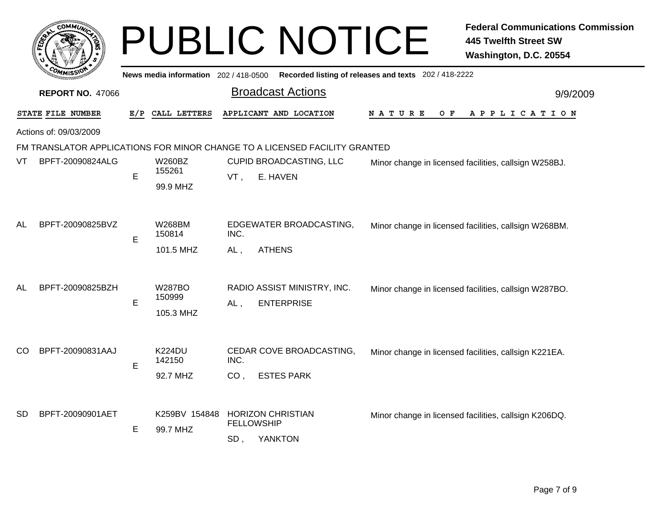|           |                         |     |                                      |             | <b>PUBLIC NOTICE</b>                                                       |                                                       | <b>Federal Communications Commission</b><br><b>445 Twelfth Street SW</b><br>Washington, D.C. 20554 |
|-----------|-------------------------|-----|--------------------------------------|-------------|----------------------------------------------------------------------------|-------------------------------------------------------|----------------------------------------------------------------------------------------------------|
|           |                         |     | News media information 202/418-0500  |             |                                                                            | Recorded listing of releases and texts 202 / 418-2222 |                                                                                                    |
|           | <b>REPORT NO. 47066</b> |     |                                      |             | <b>Broadcast Actions</b>                                                   |                                                       | 9/9/2009                                                                                           |
|           | STATE FILE NUMBER       | E/P | CALL LETTERS                         |             | APPLICANT AND LOCATION                                                     | N A T U R E<br>O F                                    | A P P L I C A T I O N                                                                              |
|           | Actions of: 09/03/2009  |     |                                      |             |                                                                            |                                                       |                                                                                                    |
|           |                         |     |                                      |             | FM TRANSLATOR APPLICATIONS FOR MINOR CHANGE TO A LICENSED FACILITY GRANTED |                                                       |                                                                                                    |
| VT        | BPFT-20090824ALG        | E   | W260BZ<br>155261<br>99.9 MHZ         | VT,         | CUPID BROADCASTING, LLC<br>E. HAVEN                                        |                                                       | Minor change in licensed facilities, callsign W258BJ.                                              |
| AL        | BPFT-20090825BVZ        | E   | <b>W268BM</b><br>150814<br>101.5 MHZ | INC.<br>AL. | EDGEWATER BROADCASTING,<br><b>ATHENS</b>                                   |                                                       | Minor change in licensed facilities, callsign W268BM.                                              |
| AL        | BPFT-20090825BZH        | E   | W287BO<br>150999<br>105.3 MHZ        | $AL$ ,      | RADIO ASSIST MINISTRY, INC.<br><b>ENTERPRISE</b>                           |                                                       | Minor change in licensed facilities, callsign W287BO.                                              |
| CO        | BPFT-20090831AAJ        | E   | <b>K224DU</b><br>142150<br>92.7 MHZ  | INC.<br>CO. | CEDAR COVE BROADCASTING,<br><b>ESTES PARK</b>                              |                                                       | Minor change in licensed facilities, callsign K221EA.                                              |
| <b>SD</b> | BPFT-20090901AET        | E   | K259BV 154848<br>99.7 MHZ            | SD,         | <b>HORIZON CHRISTIAN</b><br><b>FELLOWSHIP</b><br><b>YANKTON</b>            |                                                       | Minor change in licensed facilities, callsign K206DQ.                                              |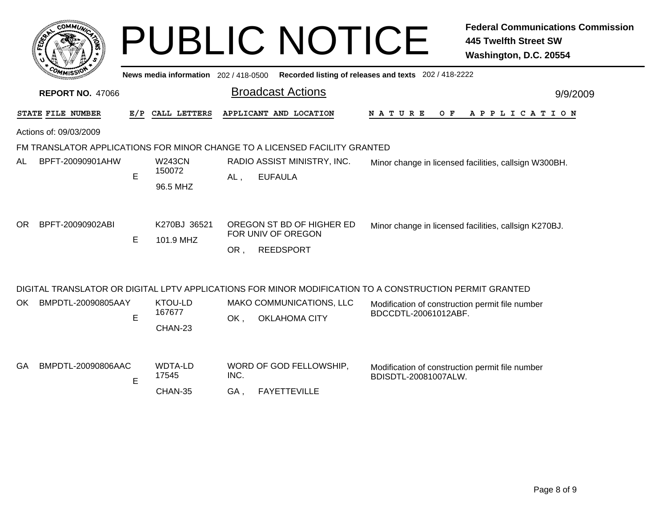|                           |    |                                     | <b>PUBLIC NOTICE</b>                                                       | <b>Federal Communications Commission</b><br><b>445 Twelfth Street SW</b><br>Washington, D.C. 20554      |
|---------------------------|----|-------------------------------------|----------------------------------------------------------------------------|---------------------------------------------------------------------------------------------------------|
|                           |    | News media information 202/418-0500 |                                                                            | Recorded listing of releases and texts 202 / 418-2222                                                   |
| <b>REPORT NO. 47066</b>   |    |                                     | <b>Broadcast Actions</b>                                                   | 9/9/2009                                                                                                |
| STATE FILE NUMBER         |    | E/P CALL LETTERS                    | APPLICANT AND LOCATION                                                     | N A T U R E<br>O F<br>A P P L I C A T I O N                                                             |
| Actions of: 09/03/2009    |    |                                     |                                                                            |                                                                                                         |
|                           |    |                                     | FM TRANSLATOR APPLICATIONS FOR MINOR CHANGE TO A LICENSED FACILITY GRANTED |                                                                                                         |
| BPFT-20090901AHW<br>AL    | E  | <b>W243CN</b><br>150072<br>96.5 MHZ | RADIO ASSIST MINISTRY, INC.<br><b>EUFAULA</b><br>$AL$ ,                    | Minor change in licensed facilities, callsign W300BH.                                                   |
| BPFT-20090902ABI<br>OR.   | E. | K270BJ 36521<br>101.9 MHZ           | OREGON ST BD OF HIGHER ED<br>FOR UNIV OF OREGON<br><b>REEDSPORT</b><br>OR, | Minor change in licensed facilities, callsign K270BJ.                                                   |
|                           |    |                                     |                                                                            | DIGITAL TRANSLATOR OR DIGITAL LPTV APPLICATIONS FOR MINOR MODIFICATION TO A CONSTRUCTION PERMIT GRANTED |
| BMPDTL-20090805AAY<br>OK. | E  | KTOU-LD<br>167677<br>CHAN-23        | MAKO COMMUNICATIONS, LLC<br>OK,<br><b>OKLAHOMA CITY</b>                    | Modification of construction permit file number<br>BDCCDTL-20061012ABF.                                 |
| BMPDTL-20090806AAC<br>GA  | E  | <b>WDTA-LD</b><br>17545<br>CHAN-35  | WORD OF GOD FELLOWSHIP,<br>INC.<br>GA,<br><b>FAYETTEVILLE</b>              | Modification of construction permit file number<br>BDISDTL-20081007ALW.                                 |